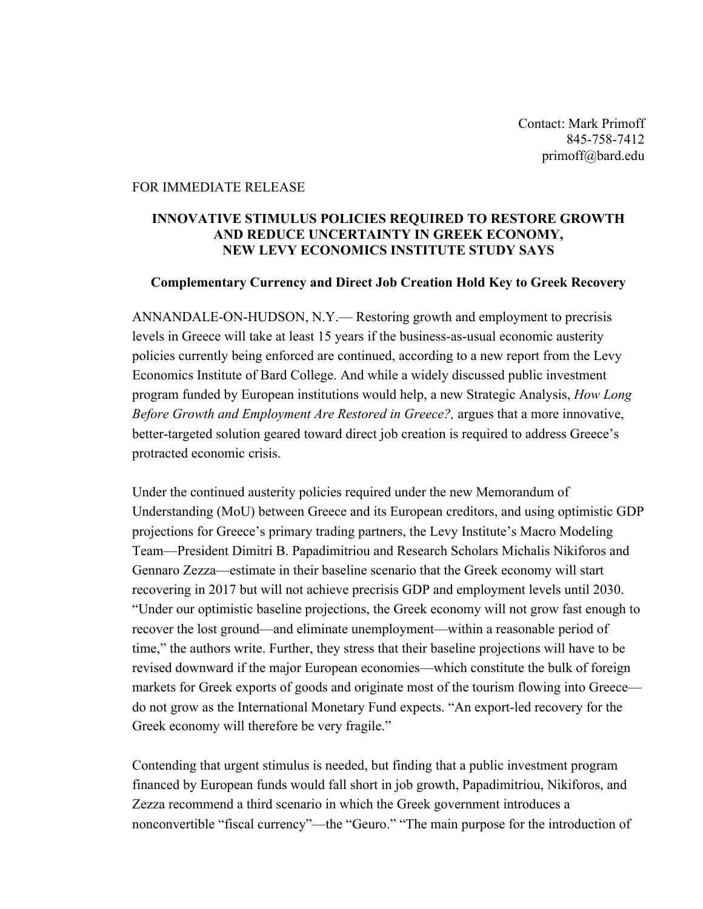Contact: Mark Primoff 845-758-7412 primoff@bard.edu

## FOR IMMEDIATE RELEASE

## **INNOVATIVE STIMULUS POLICIES REQUIRED TO RESTORE GROWTH AND REDUCE UNCERTAINTY IN GREEK ECONOMY, NEW LEVY ECONOMICS INSTITUTE STUDY SAYS**

## **Complementary Currency and Direct Job Creation Hold Key to Greek Recovery**

ANNANDALE-ON-HUDSON, N.Y.— Restoring growth and employment to precrisis levels in Greece will take at least 15 years if the business-as-usual economic austerity policies currently being enforced are continued, according to a new report from the Levy Economics Institute of Bard College. And while a widely discussed public investment program funded by European institutions would help, a new Strategic Analysis, *How Long Before Growth and Employment Are Restored in Greece?,* argues that a more innovative, better-targeted solution geared toward direct job creation is required to address Greece's protracted economic crisis.

Under the continued austerity policies required under the new Memorandum of Understanding (MoU) between Greece and its European creditors, and using optimistic GDP projections for Greece's primary trading partners, the Levy Institute's Macro Modeling Team—President Dimitri B. Papadimitriou and Research Scholars Michalis Nikiforos and Gennaro Zezza—estimate in their baseline scenario that the Greek economy will start recovering in 2017 but will not achieve precrisis GDP and employment levels until 2030. "Under our optimistic baseline projections, the Greek economy will not grow fast enough to recover the lost ground—and eliminate unemployment—within a reasonable period of time," the authors write. Further, they stress that their baseline projections will have to be revised downward if the major European economies—which constitute the bulk of foreign markets for Greek exports of goods and originate most of the tourism flowing into Greece do not grow as the International Monetary Fund expects. "An export-led recovery for the Greek economy will therefore be very fragile."

Contending that urgent stimulus is needed, but finding that a public investment program financed by European funds would fall short in job growth, Papadimitriou, Nikiforos, and Zezza recommend a third scenario in which the Greek government introduces a nonconvertible "fiscal currency"—the "Geuro." "The main purpose for the introduction of